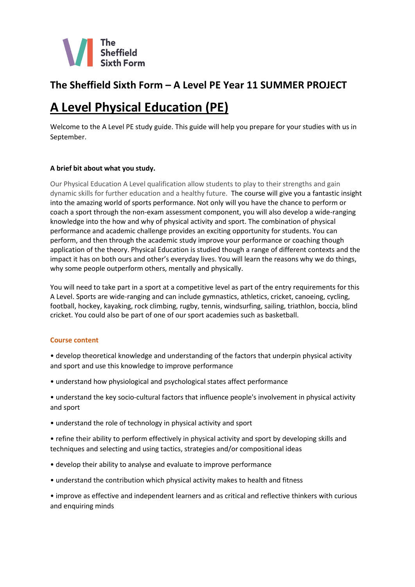

# **The Sheffield Sixth Form – A Level PE Year 11 SUMMER PROJECT**

# **A Level Physical Education (PE)**

Welcome to the A Level PE study guide. This guide will help you prepare for your studies with us in September.

# **A brief bit about what you study.**

Our Physical Education A Level qualification allow students to play to their strengths and gain dynamic skills for further education and a healthy future. The course will give you a fantastic insight into the amazing world of sports performance. Not only will you have the chance to perform or coach a sport through the non-exam assessment component, you will also develop a wide-ranging knowledge into the how and why of physical activity and sport. The combination of physical performance and academic challenge provides an exciting opportunity for students. You can perform, and then through the academic study improve your performance or coaching though application of the theory. Physical Education is studied though a range of different contexts and the impact it has on both ours and other's everyday lives. You will learn the reasons why we do things, why some people outperform others, mentally and physically.

You will need to take part in a sport at a competitive level as part of the entry requirements for this A Level. Sports are wide-ranging and can include gymnastics, athletics, cricket, canoeing, cycling, football, hockey, kayaking, rock climbing, rugby, tennis, windsurfing, sailing, triathlon, boccia, blind cricket. You could also be part of one of our sport academies such as basketball.

#### **Course content**

- develop theoretical knowledge and understanding of the factors that underpin physical activity and sport and use this knowledge to improve performance
- understand how physiological and psychological states affect performance
- understand the key socio-cultural factors that influence people's involvement in physical activity and sport
- understand the role of technology in physical activity and sport
- refine their ability to perform effectively in physical activity and sport by developing skills and techniques and selecting and using tactics, strategies and/or compositional ideas
- develop their ability to analyse and evaluate to improve performance
- understand the contribution which physical activity makes to health and fitness

• improve as effective and independent learners and as critical and reflective thinkers with curious and enquiring minds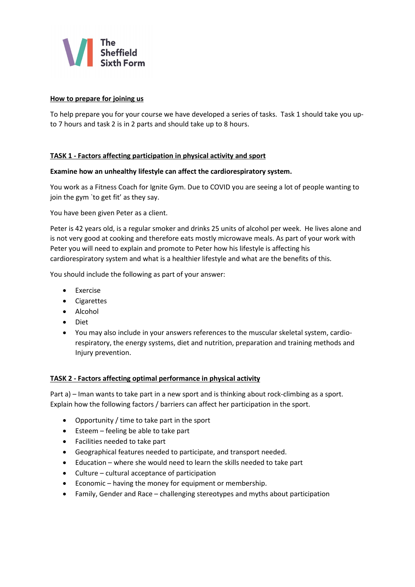

## **How to prepare for joining us**

To help prepare you for your course we have developed a series of tasks. Task 1 should take you upto 7 hours and task 2 is in 2 parts and should take up to 8 hours.

## **TASK 1 - Factors affecting participation in physical activity and sport**

#### **Examine how an unhealthy lifestyle can affect the cardiorespiratory system.**

You work as a Fitness Coach for Ignite Gym. Due to COVID you are seeing a lot of people wanting to join the gym `to get fit' as they say.

You have been given Peter as a client.

Peter is 42 years old, is a regular smoker and drinks 25 units of alcohol per week. He lives alone and is not very good at cooking and therefore eats mostly microwave meals. As part of your work with Peter you will need to explain and promote to Peter how his lifestyle is affecting his cardiorespiratory system and what is a healthier lifestyle and what are the benefits of this.

You should include the following as part of your answer:

- Exercise
- Cigarettes
- Alcohol
- Diet
- You may also include in your answers references to the muscular skeletal system, cardiorespiratory, the energy systems, diet and nutrition, preparation and training methods and Injury prevention.

#### **TASK 2 - Factors affecting optimal performance in physical activity**

Part a) – Iman wants to take part in a new sport and is thinking about rock-climbing as a sport. Explain how the following factors / barriers can affect her participation in the sport.

- Opportunity / time to take part in the sport
- Esteem feeling be able to take part
- Facilities needed to take part
- Geographical features needed to participate, and transport needed.
- Education where she would need to learn the skills needed to take part
- Culture cultural acceptance of participation
- Economic having the money for equipment or membership.
- Family, Gender and Race challenging stereotypes and myths about participation